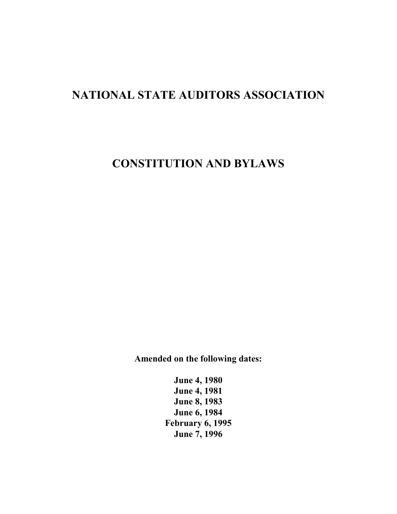# **NATIONAL STATE AUDITORS ASSOCIATION**

# **CONSTITUTION AND BYLAWS**

**Amended on the following dates:** 

**June 4, 1980 June 4, 1981 June 8, 1983 June 6, 1984 February 6, 1995 June 7, 1996**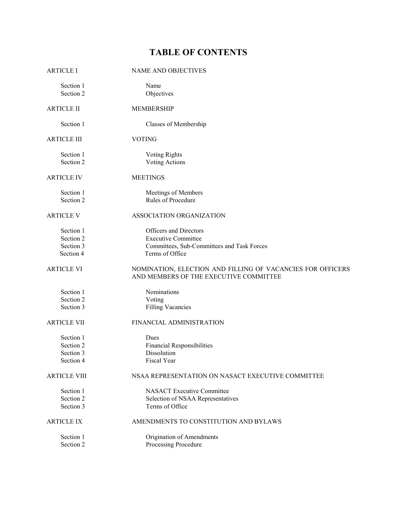# **TABLE OF CONTENTS**

| <b>ARTICLE I</b>       | <b>NAME AND OBJECTIVES</b>                                                                           |
|------------------------|------------------------------------------------------------------------------------------------------|
| Section 1<br>Section 2 | Name<br>Objectives                                                                                   |
| <b>ARTICLE II</b>      | <b>MEMBERSHIP</b>                                                                                    |
| Section 1              | Classes of Membership                                                                                |
| <b>ARTICLE III</b>     | <b>VOTING</b>                                                                                        |
| Section 1<br>Section 2 | <b>Voting Rights</b><br>Voting Actions                                                               |
| <b>ARTICLE IV</b>      | <b>MEETINGS</b>                                                                                      |
| Section 1              | Meetings of Members                                                                                  |
| Section 2              | Rules of Procedure                                                                                   |
| <b>ARTICLE V</b>       | ASSOCIATION ORGANIZATION                                                                             |
| Section 1              | Officers and Directors                                                                               |
| Section 2              | <b>Executive Committee</b>                                                                           |
| Section 3              | Committees, Sub-Committees and Task Forces                                                           |
| Section 4              | Terms of Office                                                                                      |
| <b>ARTICLE VI</b>      | NOMINATION, ELECTION AND FILLING OF VACANCIES FOR OFFICERS<br>AND MEMBERS OF THE EXECUTIVE COMMITTEE |
| Section 1              | Nominations                                                                                          |
| Section 2              | Voting                                                                                               |
| Section 3              | <b>Filling Vacancies</b>                                                                             |
| <b>ARTICLE VII</b>     | FINANCIAL ADMINISTRATION                                                                             |
| Section 1              | Dues                                                                                                 |
| Section 2              | <b>Financial Responsibilities</b>                                                                    |
| Section 3              | Dissolution                                                                                          |
| Section 4              | Fiscal Year                                                                                          |
| <b>ARTICLE VIII</b>    | NSAA REPRESENTATION ON NASACT EXECUTIVE COMMITTEE                                                    |
| Section 1              | <b>NASACT Executive Committee</b>                                                                    |
| Section 2              | Selection of NSAA Representatives                                                                    |
| Section 3              | Terms of Office                                                                                      |
| <b>ARTICLE IX</b>      | AMENDMENTS TO CONSTITUTION AND BYLAWS                                                                |
| Section 1              | Origination of Amendments                                                                            |
| Section 2              | Processing Procedure                                                                                 |
|                        |                                                                                                      |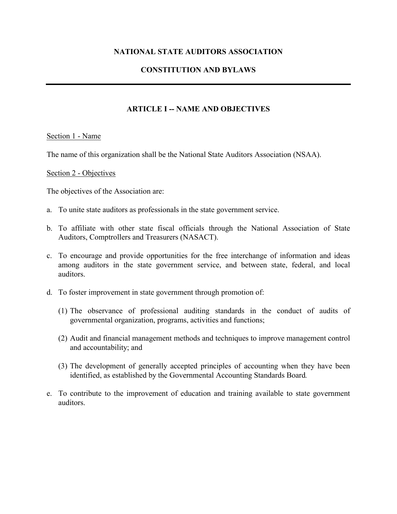### **NATIONAL STATE AUDITORS ASSOCIATION**

## **CONSTITUTION AND BYLAWS**

## **ARTICLE I -- NAME AND OBJECTIVES**

#### Section 1 - Name

The name of this organization shall be the National State Auditors Association (NSAA).

#### Section 2 - Objectives

The objectives of the Association are:

- a. To unite state auditors as professionals in the state government service.
- b. To affiliate with other state fiscal officials through the National Association of State Auditors, Comptrollers and Treasurers (NASACT).
- c. To encourage and provide opportunities for the free interchange of information and ideas among auditors in the state government service, and between state, federal, and local auditors.
- d. To foster improvement in state government through promotion of:
	- (1) The observance of professional auditing standards in the conduct of audits of governmental organization, programs, activities and functions;
	- (2) Audit and financial management methods and techniques to improve management control and accountability; and
	- (3) The development of generally accepted principles of accounting when they have been identified, as established by the Governmental Accounting Standards Board*.*
- e. To contribute to the improvement of education and training available to state government auditors.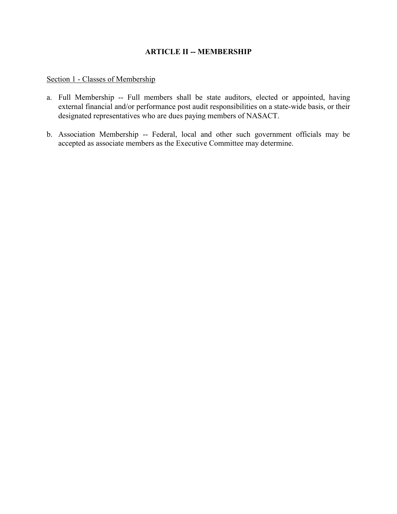## **ARTICLE II -- MEMBERSHIP**

### Section 1 - Classes of Membership

- a. Full Membership -- Full members shall be state auditors, elected or appointed, having external financial and/or performance post audit responsibilities on a state-wide basis, or their designated representatives who are dues paying members of NASACT.
- b. Association Membership -- Federal, local and other such government officials may be accepted as associate members as the Executive Committee may determine.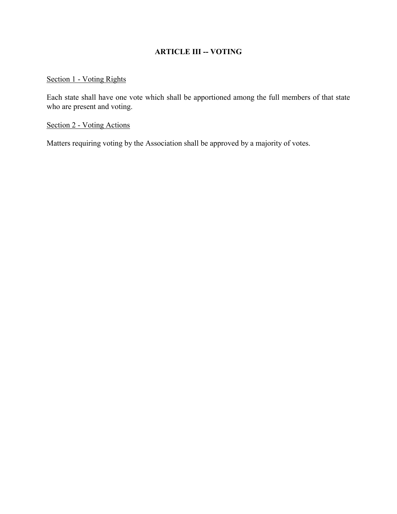# **ARTICLE III -- VOTING**

## Section 1 - Voting Rights

Each state shall have one vote which shall be apportioned among the full members of that state who are present and voting.

### Section 2 - Voting Actions

Matters requiring voting by the Association shall be approved by a majority of votes.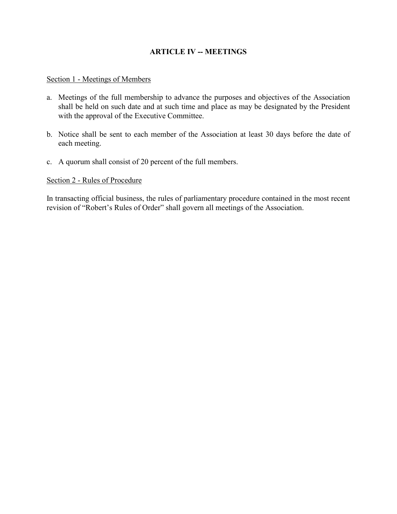## **ARTICLE IV -- MEETINGS**

#### Section 1 - Meetings of Members

- a. Meetings of the full membership to advance the purposes and objectives of the Association shall be held on such date and at such time and place as may be designated by the President with the approval of the Executive Committee.
- b. Notice shall be sent to each member of the Association at least 30 days before the date of each meeting.
- c. A quorum shall consist of 20 percent of the full members.

#### Section 2 - Rules of Procedure

In transacting official business, the rules of parliamentary procedure contained in the most recent revision of "Robert's Rules of Order" shall govern all meetings of the Association.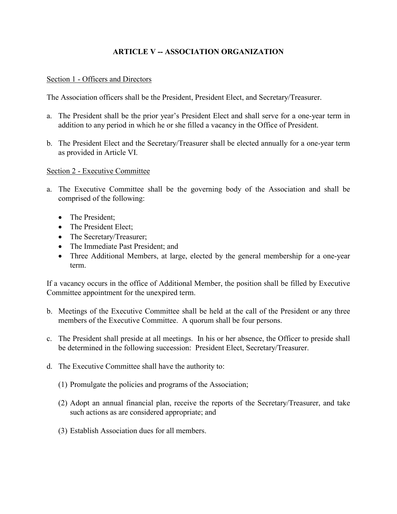## **ARTICLE V -- ASSOCIATION ORGANIZATION**

#### Section 1 - Officers and Directors

The Association officers shall be the President, President Elect, and Secretary/Treasurer.

- a. The President shall be the prior year's President Elect and shall serve for a one-year term in addition to any period in which he or she filled a vacancy in the Office of President.
- b. The President Elect and the Secretary/Treasurer shall be elected annually for a one-year term as provided in Article VI.

#### Section 2 - Executive Committee

- a. The Executive Committee shall be the governing body of the Association and shall be comprised of the following:
	- The President;
	- The President Elect;
	- The Secretary/Treasurer;
	- The Immediate Past President; and
	- Three Additional Members, at large, elected by the general membership for a one-year term.

If a vacancy occurs in the office of Additional Member, the position shall be filled by Executive Committee appointment for the unexpired term.

- b. Meetings of the Executive Committee shall be held at the call of the President or any three members of the Executive Committee. A quorum shall be four persons.
- c. The President shall preside at all meetings. In his or her absence, the Officer to preside shall be determined in the following succession: President Elect, Secretary/Treasurer.
- d. The Executive Committee shall have the authority to:
	- (1) Promulgate the policies and programs of the Association;
	- (2) Adopt an annual financial plan, receive the reports of the Secretary/Treasurer, and take such actions as are considered appropriate; and
	- (3) Establish Association dues for all members.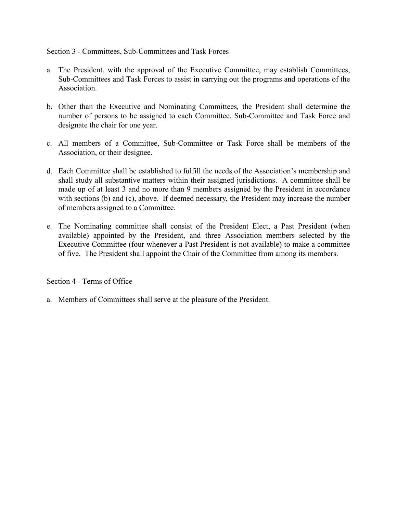## Section 3 - Committees, Sub-Committees and Task Forces

- a. The President, with the approval of the Executive Committee, may establish Committees, Sub-Committees and Task Forces to assist in carrying out the programs and operations of the Association.
- b. Other than the Executive and Nominating Committees*,* the President shall determine the number of persons to be assigned to each Committee, Sub-Committee and Task Force and designate the chair for one year.
- c. All members of a Committee, Sub-Committee or Task Force shall be members of the Association, or their designee.
- d. Each Committee shall be established to fulfill the needs of the Association's membership and shall study all substantive matters within their assigned jurisdictions. A committee shall be made up of at least 3 and no more than 9 members assigned by the President in accordance with sections (b) and (c), above. If deemed necessary, the President may increase the number of members assigned to a Committee.
- e. The Nominating committee shall consist of the President Elect, a Past President (when available) appointed by the President, and three Association members selected by the Executive Committee (four whenever a Past President is not available) to make a committee of five. The President shall appoint the Chair of the Committee from among its members.

## Section 4 - Terms of Office

a. Members of Committees shall serve at the pleasure of the President.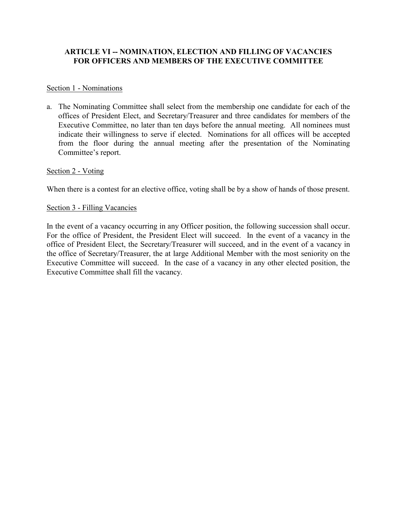## **ARTICLE VI -- NOMINATION, ELECTION AND FILLING OF VACANCIES FOR OFFICERS AND MEMBERS OF THE EXECUTIVE COMMITTEE**

#### Section 1 - Nominations

a. The Nominating Committee shall select from the membership one candidate for each of the offices of President Elect, and Secretary/Treasurer and three candidates for members of the Executive Committee, no later than ten days before the annual meeting. All nominees must indicate their willingness to serve if elected. Nominations for all offices will be accepted from the floor during the annual meeting after the presentation of the Nominating Committee's report.

### Section 2 - Voting

When there is a contest for an elective office, voting shall be by a show of hands of those present.

### Section 3 - Filling Vacancies

In the event of a vacancy occurring in any Officer position, the following succession shall occur. For the office of President, the President Elect will succeed. In the event of a vacancy in the office of President Elect, the Secretary/Treasurer will succeed, and in the event of a vacancy in the office of Secretary/Treasurer, the at large Additional Member with the most seniority on the Executive Committee will succeed. In the case of a vacancy in any other elected position, the Executive Committee shall fill the vacancy.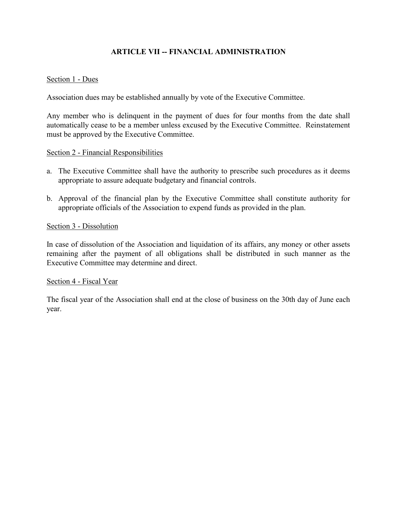## **ARTICLE VII -- FINANCIAL ADMINISTRATION**

#### Section 1 - Dues

Association dues may be established annually by vote of the Executive Committee.

Any member who is delinquent in the payment of dues for four months from the date shall automatically cease to be a member unless excused by the Executive Committee. Reinstatement must be approved by the Executive Committee.

#### Section 2 - Financial Responsibilities

- a. The Executive Committee shall have the authority to prescribe such procedures as it deems appropriate to assure adequate budgetary and financial controls.
- b. Approval of the financial plan by the Executive Committee shall constitute authority for appropriate officials of the Association to expend funds as provided in the plan.

#### Section 3 - Dissolution

In case of dissolution of the Association and liquidation of its affairs, any money or other assets remaining after the payment of all obligations shall be distributed in such manner as the Executive Committee may determine and direct.

#### Section 4 - Fiscal Year

The fiscal year of the Association shall end at the close of business on the 30th day of June each year.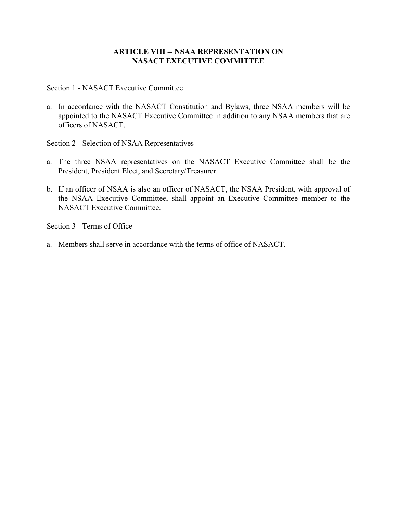## **ARTICLE VIII -- NSAA REPRESENTATION ON NASACT EXECUTIVE COMMITTEE**

### Section 1 - NASACT Executive Committee

a. In accordance with the NASACT Constitution and Bylaws, three NSAA members will be appointed to the NASACT Executive Committee in addition to any NSAA members that are officers of NASACT.

### Section 2 - Selection of NSAA Representatives

- a. The three NSAA representatives on the NASACT Executive Committee shall be the President, President Elect, and Secretary/Treasurer.
- b. If an officer of NSAA is also an officer of NASACT, the NSAA President, with approval of the NSAA Executive Committee, shall appoint an Executive Committee member to the NASACT Executive Committee.

### Section 3 - Terms of Office

a. Members shall serve in accordance with the terms of office of NASACT.